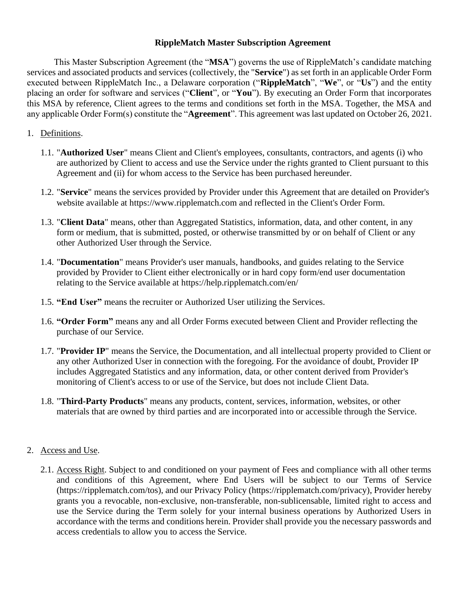### **RippleMatch Master Subscription Agreement**

This Master Subscription Agreement (the "**MSA**") governs the use of RippleMatch's candidate matching services and associated products and services (collectively, the "**Service**") as set forth in an applicable Order Form executed between RippleMatch Inc., a Delaware corporation ("**RippleMatch**", "**We**", or "**Us**") and the entity placing an order for software and services ("**Client**", or "**You**"). By executing an Order Form that incorporates this MSA by reference, Client agrees to the terms and conditions set forth in the MSA. Together, the MSA and any applicable Order Form(s) constitute the "**Agreement**". This agreement was last updated on October 26, 2021.

### 1. Definitions.

- 1.1. "**Authorized User**" means Client and Client's employees, consultants, contractors, and agents (i) who are authorized by Client to access and use the Service under the rights granted to Client pursuant to this Agreement and (ii) for whom access to the Service has been purchased hereunder.
- 1.2. "**Service**" means the services provided by Provider under this Agreement that are detailed on Provider's website available at https://www.ripplematch.com and reflected in the Client's Order Form.
- 1.3. "**Client Data**" means, other than Aggregated Statistics, information, data, and other content, in any form or medium, that is submitted, posted, or otherwise transmitted by or on behalf of Client or any other Authorized User through the Service.
- 1.4. "**Documentation**" means Provider's user manuals, handbooks, and guides relating to the Service provided by Provider to Client either electronically or in hard copy form/end user documentation relating to the Service available at https://help.ripplematch.com/en/
- 1.5. **"End User"** means the recruiter or Authorized User utilizing the Services.
- 1.6. **"Order Form"** means any and all Order Forms executed between Client and Provider reflecting the purchase of our Service.
- 1.7. "**Provider IP**" means the Service, the Documentation, and all intellectual property provided to Client or any other Authorized User in connection with the foregoing. For the avoidance of doubt, Provider IP includes Aggregated Statistics and any information, data, or other content derived from Provider's monitoring of Client's access to or use of the Service, but does not include Client Data.
- 1.8. "**Third-Party Products**" means any products, content, services, information, websites, or other materials that are owned by third parties and are incorporated into or accessible through the Service.

### 2. Access and Use.

2.1. Access Right. Subject to and conditioned on your payment of Fees and compliance with all other terms and conditions of this Agreement, where End Users will be subject to our Terms of Service (https://ripplematch.com/tos), and our Privacy Policy (https://ripplematch.com/privacy), Provider hereby grants you a revocable, non-exclusive, non-transferable, non-sublicensable, limited right to access and use the Service during the Term solely for your internal business operations by Authorized Users in accordance with the terms and conditions herein. Provider shall provide you the necessary passwords and access credentials to allow you to access the Service.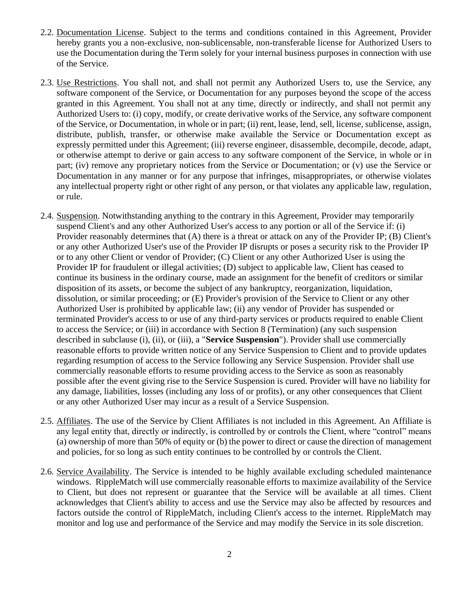- 2.2. Documentation License. Subject to the terms and conditions contained in this Agreement, Provider hereby grants you a non-exclusive, non-sublicensable, non-transferable license for Authorized Users to use the Documentation during the Term solely for your internal business purposes in connection with use of the Service.
- 2.3. Use Restrictions. You shall not, and shall not permit any Authorized Users to, use the Service, any software component of the Service, or Documentation for any purposes beyond the scope of the access granted in this Agreement. You shall not at any time, directly or indirectly, and shall not permit any Authorized Users to: (i) copy, modify, or create derivative works of the Service, any software component of the Service, or Documentation, in whole or in part; (ii) rent, lease, lend, sell, license, sublicense, assign, distribute, publish, transfer, or otherwise make available the Service or Documentation except as expressly permitted under this Agreement; (iii) reverse engineer, disassemble, decompile, decode, adapt, or otherwise attempt to derive or gain access to any software component of the Service, in whole or in part; (iv) remove any proprietary notices from the Service or Documentation; or (v) use the Service or Documentation in any manner or for any purpose that infringes, misappropriates, or otherwise violates any intellectual property right or other right of any person, or that violates any applicable law, regulation, or rule.
- 2.4. Suspension. Notwithstanding anything to the contrary in this Agreement, Provider may temporarily suspend Client's and any other Authorized User's access to any portion or all of the Service if: (i) Provider reasonably determines that (A) there is a threat or attack on any of the Provider IP; (B) Client's or any other Authorized User's use of the Provider IP disrupts or poses a security risk to the Provider IP or to any other Client or vendor of Provider; (C) Client or any other Authorized User is using the Provider IP for fraudulent or illegal activities; (D) subject to applicable law, Client has ceased to continue its business in the ordinary course, made an assignment for the benefit of creditors or similar disposition of its assets, or become the subject of any bankruptcy, reorganization, liquidation, dissolution, or similar proceeding; or (E) Provider's provision of the Service to Client or any other Authorized User is prohibited by applicable law; (ii) any vendor of Provider has suspended or terminated Provider's access to or use of any third-party services or products required to enable Client to access the Service; or (iii) in accordance with Section 8 (Termination) (any such suspension described in subclause (i), (ii), or (iii), a "**Service Suspension**"). Provider shall use commercially reasonable efforts to provide written notice of any Service Suspension to Client and to provide updates regarding resumption of access to the Service following any Service Suspension. Provider shall use commercially reasonable efforts to resume providing access to the Service as soon as reasonably possible after the event giving rise to the Service Suspension is cured. Provider will have no liability for any damage, liabilities, losses (including any loss of or profits), or any other consequences that Client or any other Authorized User may incur as a result of a Service Suspension.
- 2.5. Affiliates. The use of the Service by Client Affiliates is not included in this Agreement. An Affiliate is any legal entity that, directly or indirectly, is controlled by or controls the Client, where "control" means (a) ownership of more than 50% of equity or (b) the power to direct or cause the direction of management and policies, for so long as such entity continues to be controlled by or controls the Client.
- 2.6. Service Availability. The Service is intended to be highly available excluding scheduled maintenance windows. RippleMatch will use commercially reasonable efforts to maximize availability of the Service to Client, but does not represent or guarantee that the Service will be available at all times. Client acknowledges that Client's ability to access and use the Service may also be affected by resources and factors outside the control of RippleMatch, including Client's access to the internet. RippleMatch may monitor and log use and performance of the Service and may modify the Service in its sole discretion.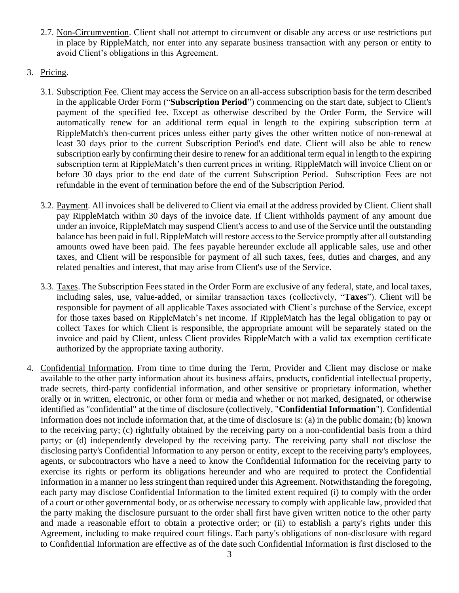- 2.7. Non-Circumvention. Client shall not attempt to circumvent or disable any access or use restrictions put in place by RippleMatch, nor enter into any separate business transaction with any person or entity to avoid Client's obligations in this Agreement.
- 3. Pricing.
	- 3.1. Subscription Fee. Client may access the Service on an all-access subscription basis for the term described in the applicable Order Form ("**Subscription Period**") commencing on the start date, subject to Client's payment of the specified fee. Except as otherwise described by the Order Form, the Service will automatically renew for an additional term equal in length to the expiring subscription term at RippleMatch's then-current prices unless either party gives the other written notice of non-renewal at least 30 days prior to the current Subscription Period's end date. Client will also be able to renew subscription early by confirming their desire to renew for an additional term equal in length to the expiring subscription term at RippleMatch's then current prices in writing. RippleMatch will invoice Client on or before 30 days prior to the end date of the current Subscription Period. Subscription Fees are not refundable in the event of termination before the end of the Subscription Period.
	- 3.2. Payment. All invoices shall be delivered to Client via email at the address provided by Client. Client shall pay RippleMatch within 30 days of the invoice date. If Client withholds payment of any amount due under an invoice, RippleMatch may suspend Client's access to and use of the Service until the outstanding balance has been paid in full. RippleMatch will restore access to the Service promptly after all outstanding amounts owed have been paid. The fees payable hereunder exclude all applicable sales, use and other taxes, and Client will be responsible for payment of all such taxes, fees, duties and charges, and any related penalties and interest, that may arise from Client's use of the Service.
	- 3.3. Taxes. The Subscription Fees stated in the Order Form are exclusive of any federal, state, and local taxes, including sales, use, value-added, or similar transaction taxes (collectively, "**Taxes**"). Client will be responsible for payment of all applicable Taxes associated with Client's purchase of the Service, except for those taxes based on RippleMatch's net income. If RippleMatch has the legal obligation to pay or collect Taxes for which Client is responsible, the appropriate amount will be separately stated on the invoice and paid by Client, unless Client provides RippleMatch with a valid tax exemption certificate authorized by the appropriate taxing authority.
- 4. Confidential Information. From time to time during the Term, Provider and Client may disclose or make available to the other party information about its business affairs, products, confidential intellectual property, trade secrets, third-party confidential information, and other sensitive or proprietary information, whether orally or in written, electronic, or other form or media and whether or not marked, designated, or otherwise identified as "confidential" at the time of disclosure (collectively, "**Confidential Information**"). Confidential Information does not include information that, at the time of disclosure is: (a) in the public domain; (b) known to the receiving party; (c) rightfully obtained by the receiving party on a non-confidential basis from a third party; or (d) independently developed by the receiving party. The receiving party shall not disclose the disclosing party's Confidential Information to any person or entity, except to the receiving party's employees, agents, or subcontractors who have a need to know the Confidential Information for the receiving party to exercise its rights or perform its obligations hereunder and who are required to protect the Confidential Information in a manner no less stringent than required under this Agreement. Notwithstanding the foregoing, each party may disclose Confidential Information to the limited extent required (i) to comply with the order of a court or other governmental body, or as otherwise necessary to comply with applicable law, provided that the party making the disclosure pursuant to the order shall first have given written notice to the other party and made a reasonable effort to obtain a protective order; or (ii) to establish a party's rights under this Agreement, including to make required court filings. Each party's obligations of non-disclosure with regard to Confidential Information are effective as of the date such Confidential Information is first disclosed to the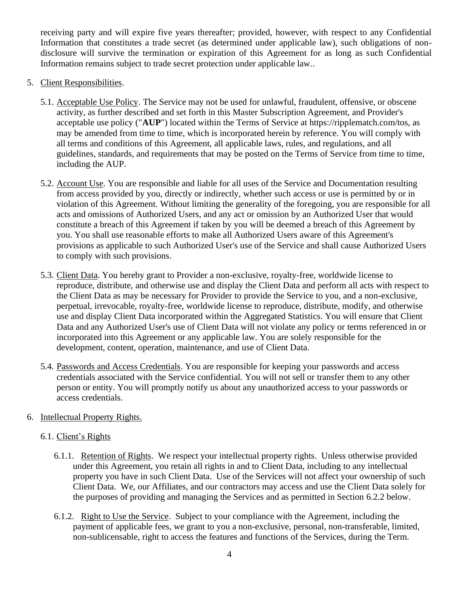receiving party and will expire five years thereafter; provided, however, with respect to any Confidential Information that constitutes a trade secret (as determined under applicable law), such obligations of nondisclosure will survive the termination or expiration of this Agreement for as long as such Confidential Information remains subject to trade secret protection under applicable law..

- 5. Client Responsibilities.
	- 5.1. Acceptable Use Policy. The Service may not be used for unlawful, fraudulent, offensive, or obscene activity, as further described and set forth in this Master Subscription Agreement, and Provider's acceptable use policy ("**AUP**") located within the Terms of Service at https://ripplematch.com/tos, as may be amended from time to time, which is incorporated herein by reference. You will comply with all terms and conditions of this Agreement, all applicable laws, rules, and regulations, and all guidelines, standards, and requirements that may be posted on the Terms of Service from time to time, including the AUP.
	- 5.2. Account Use. You are responsible and liable for all uses of the Service and Documentation resulting from access provided by you, directly or indirectly, whether such access or use is permitted by or in violation of this Agreement. Without limiting the generality of the foregoing, you are responsible for all acts and omissions of Authorized Users, and any act or omission by an Authorized User that would constitute a breach of this Agreement if taken by you will be deemed a breach of this Agreement by you. You shall use reasonable efforts to make all Authorized Users aware of this Agreement's provisions as applicable to such Authorized User's use of the Service and shall cause Authorized Users to comply with such provisions.
	- 5.3. Client Data. You hereby grant to Provider a non-exclusive, royalty-free, worldwide license to reproduce, distribute, and otherwise use and display the Client Data and perform all acts with respect to the Client Data as may be necessary for Provider to provide the Service to you, and a non-exclusive, perpetual, irrevocable, royalty-free, worldwide license to reproduce, distribute, modify, and otherwise use and display Client Data incorporated within the Aggregated Statistics. You will ensure that Client Data and any Authorized User's use of Client Data will not violate any policy or terms referenced in or incorporated into this Agreement or any applicable law. You are solely responsible for the development, content, operation, maintenance, and use of Client Data.
	- 5.4. Passwords and Access Credentials. You are responsible for keeping your passwords and access credentials associated with the Service confidential. You will not sell or transfer them to any other person or entity. You will promptly notify us about any unauthorized access to your passwords or access credentials.

## 6. Intellectual Property Rights.

## 6.1. Client's Rights

- 6.1.1. Retention of Rights. We respect your intellectual property rights. Unless otherwise provided under this Agreement, you retain all rights in and to Client Data, including to any intellectual property you have in such Client Data. Use of the Services will not affect your ownership of such Client Data. We, our Affiliates, and our contractors may access and use the Client Data solely for the purposes of providing and managing the Services and as permitted in Section 6.2.2 below.
- 6.1.2. Right to Use the Service. Subject to your compliance with the Agreement, including the payment of applicable fees, we grant to you a non-exclusive, personal, non-transferable, limited, non-sublicensable, right to access the features and functions of the Services, during the Term.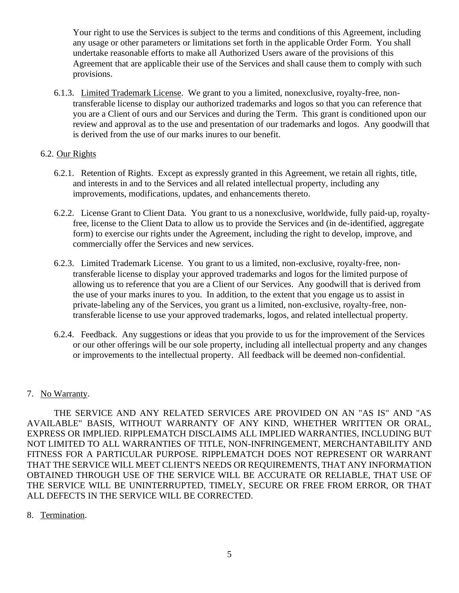Your right to use the Services is subject to the terms and conditions of this Agreement, including any usage or other parameters or limitations set forth in the applicable Order Form. You shall undertake reasonable efforts to make all Authorized Users aware of the provisions of this Agreement that are applicable their use of the Services and shall cause them to comply with such provisions.

6.1.3. Limited Trademark License. We grant to you a limited, nonexclusive, royalty-free, nontransferable license to display our authorized trademarks and logos so that you can reference that you are a Client of ours and our Services and during the Term. This grant is conditioned upon our review and approval as to the use and presentation of our trademarks and logos. Any goodwill that is derived from the use of our marks inures to our benefit.

## 6.2. Our Rights

- 6.2.1. Retention of Rights. Except as expressly granted in this Agreement, we retain all rights, title, and interests in and to the Services and all related intellectual property, including any improvements, modifications, updates, and enhancements thereto.
- 6.2.2. License Grant to Client Data. You grant to us a nonexclusive, worldwide, fully paid-up, royaltyfree, license to the Client Data to allow us to provide the Services and (in de-identified, aggregate form) to exercise our rights under the Agreement, including the right to develop, improve, and commercially offer the Services and new services.
- 6.2.3. Limited Trademark License. You grant to us a limited, non-exclusive, royalty-free, nontransferable license to display your approved trademarks and logos for the limited purpose of allowing us to reference that you are a Client of our Services. Any goodwill that is derived from the use of your marks inures to you. In addition, to the extent that you engage us to assist in private-labeling any of the Services, you grant us a limited, non-exclusive, royalty-free, nontransferable license to use your approved trademarks, logos, and related intellectual property.
- 6.2.4. Feedback. Any suggestions or ideas that you provide to us for the improvement of the Services or our other offerings will be our sole property, including all intellectual property and any changes or improvements to the intellectual property. All feedback will be deemed non-confidential.

### 7. No Warranty.

THE SERVICE AND ANY RELATED SERVICES ARE PROVIDED ON AN "AS IS" AND "AS AVAILABLE" BASIS, WITHOUT WARRANTY OF ANY KIND, WHETHER WRITTEN OR ORAL, EXPRESS OR IMPLIED. RIPPLEMATCH DISCLAIMS ALL IMPLIED WARRANTIES, INCLUDING BUT NOT LIMITED TO ALL WARRANTIES OF TITLE, NON-INFRINGEMENT, MERCHANTABILITY AND FITNESS FOR A PARTICULAR PURPOSE. RIPPLEMATCH DOES NOT REPRESENT OR WARRANT THAT THE SERVICE WILL MEET CLIENT'S NEEDS OR REQUIREMENTS, THAT ANY INFORMATION OBTAINED THROUGH USE OF THE SERVICE WILL BE ACCURATE OR RELIABLE, THAT USE OF THE SERVICE WILL BE UNINTERRUPTED, TIMELY, SECURE OR FREE FROM ERROR, OR THAT ALL DEFECTS IN THE SERVICE WILL BE CORRECTED.

8. Termination.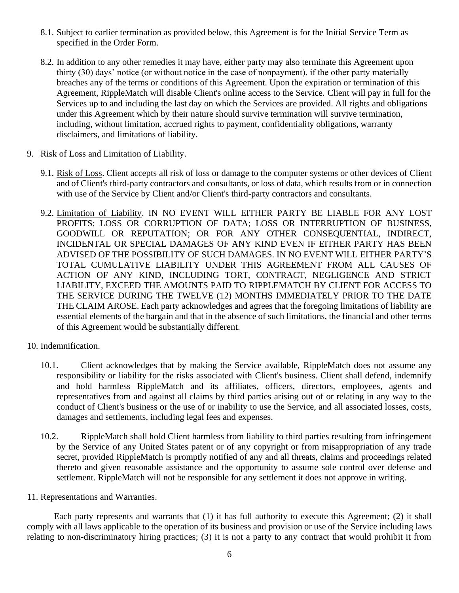- 8.1. Subject to earlier termination as provided below, this Agreement is for the Initial Service Term as specified in the Order Form.
- 8.2. In addition to any other remedies it may have, either party may also terminate this Agreement upon thirty (30) days' notice (or without notice in the case of nonpayment), if the other party materially breaches any of the terms or conditions of this Agreement. Upon the expiration or termination of this Agreement, RippleMatch will disable Client's online access to the Service. Client will pay in full for the Services up to and including the last day on which the Services are provided. All rights and obligations under this Agreement which by their nature should survive termination will survive termination, including, without limitation, accrued rights to payment, confidentiality obligations, warranty disclaimers, and limitations of liability.
- 9. Risk of Loss and Limitation of Liability.
	- 9.1. Risk of Loss. Client accepts all risk of loss or damage to the computer systems or other devices of Client and of Client's third-party contractors and consultants, or loss of data, which results from or in connection with use of the Service by Client and/or Client's third-party contractors and consultants.
	- 9.2. Limitation of Liability. IN NO EVENT WILL EITHER PARTY BE LIABLE FOR ANY LOST PROFITS; LOSS OR CORRUPTION OF DATA; LOSS OR INTERRUPTION OF BUSINESS, GOODWILL OR REPUTATION; OR FOR ANY OTHER CONSEQUENTIAL, INDIRECT, INCIDENTAL OR SPECIAL DAMAGES OF ANY KIND EVEN IF EITHER PARTY HAS BEEN ADVISED OF THE POSSIBILITY OF SUCH DAMAGES. IN NO EVENT WILL EITHER PARTY'S TOTAL CUMULATIVE LIABILITY UNDER THIS AGREEMENT FROM ALL CAUSES OF ACTION OF ANY KIND, INCLUDING TORT, CONTRACT, NEGLIGENCE AND STRICT LIABILITY, EXCEED THE AMOUNTS PAID TO RIPPLEMATCH BY CLIENT FOR ACCESS TO THE SERVICE DURING THE TWELVE (12) MONTHS IMMEDIATELY PRIOR TO THE DATE THE CLAIM AROSE. Each party acknowledges and agrees that the foregoing limitations of liability are essential elements of the bargain and that in the absence of such limitations, the financial and other terms of this Agreement would be substantially different.
- 10. Indemnification.
	- 10.1. Client acknowledges that by making the Service available, RippleMatch does not assume any responsibility or liability for the risks associated with Client's business. Client shall defend, indemnify and hold harmless RippleMatch and its affiliates, officers, directors, employees, agents and representatives from and against all claims by third parties arising out of or relating in any way to the conduct of Client's business or the use of or inability to use the Service, and all associated losses, costs, damages and settlements, including legal fees and expenses.
	- 10.2. RippleMatch shall hold Client harmless from liability to third parties resulting from infringement by the Service of any United States patent or of any copyright or from misappropriation of any trade secret, provided RippleMatch is promptly notified of any and all threats, claims and proceedings related thereto and given reasonable assistance and the opportunity to assume sole control over defense and settlement. RippleMatch will not be responsible for any settlement it does not approve in writing.

### 11. Representations and Warranties.

 Each party represents and warrants that (1) it has full authority to execute this Agreement; (2) it shall comply with all laws applicable to the operation of its business and provision or use of the Service including laws relating to non-discriminatory hiring practices; (3) it is not a party to any contract that would prohibit it from